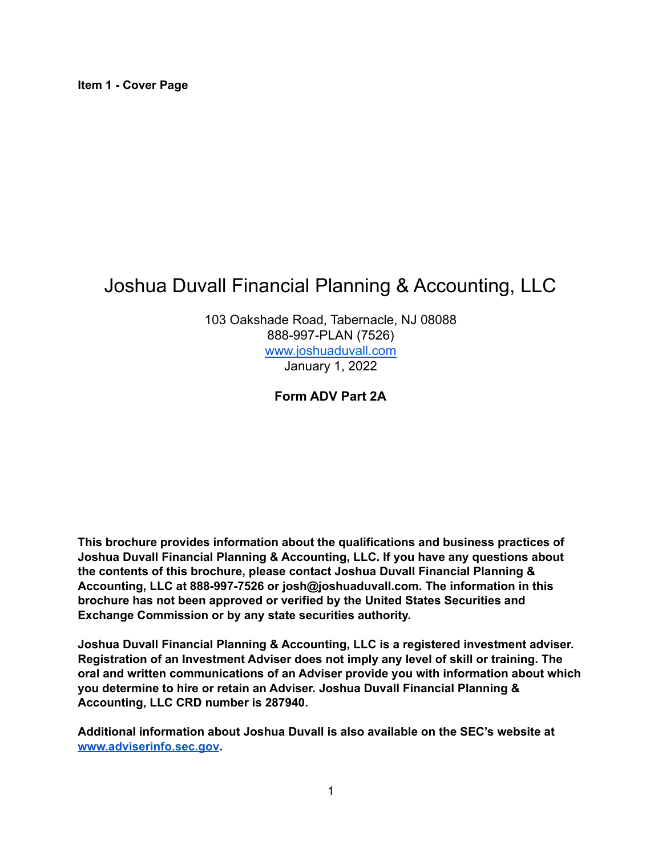**Item 1 - Cover Page**

# Joshua Duvall Financial Planning & Accounting, LLC

103 Oakshade Road, Tabernacle, NJ 08088 888-997-PLAN (7526) [www.joshuaduvall.com](http://www.joshuaduvall.com) January 1, 2022

**Form ADV Part 2A**

**This brochure provides information about the qualifications and business practices of Joshua Duvall Financial Planning & Accounting, LLC. If you have any questions about the contents of this brochure, please contact Joshua Duvall Financial Planning & Accounting, LLC at 888-997-7526 or josh@joshuaduvall.com. The information in this brochure has not been approved or verified by the United States Securities and Exchange Commission or by any state securities authority.**

**Joshua Duvall Financial Planning & Accounting, LLC is a registered investment adviser. Registration of an Investment Adviser does not imply any level of skill or training. The oral and written communications of an Adviser provide you with information about which you determine to hire or retain an Adviser. Joshua Duvall Financial Planning & Accounting, LLC CRD number is 287940.**

**Additional information about Joshua Duvall is also available on the SEC's website at [www.adviserinfo.sec.gov.](http://www.adviserinfo.sec.gov)**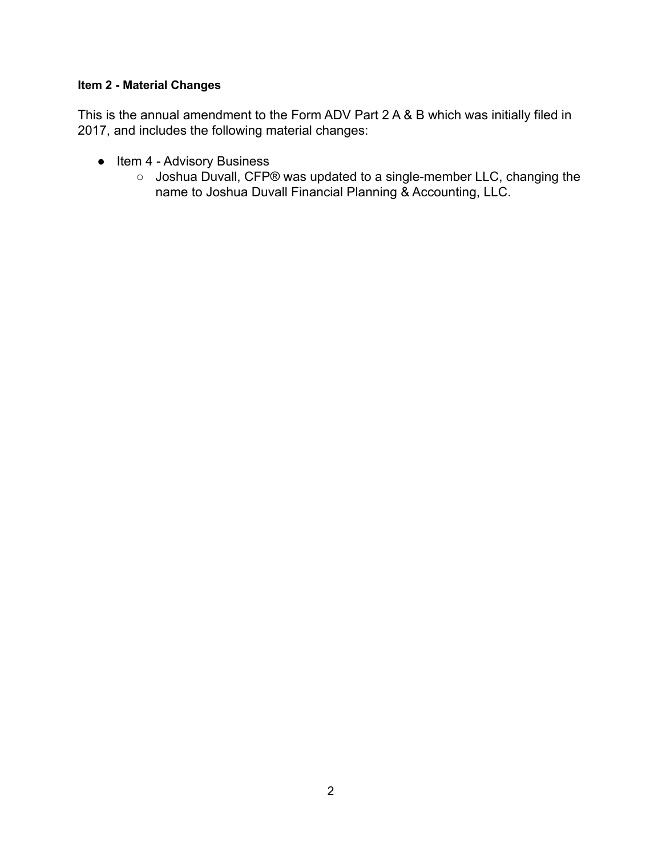### **Item 2 - Material Changes**

This is the annual amendment to the Form ADV Part 2 A & B which was initially filed in 2017, and includes the following material changes:

- Item 4 Advisory Business
	- Joshua Duvall, CFP® was updated to a single-member LLC, changing the name to Joshua Duvall Financial Planning & Accounting, LLC.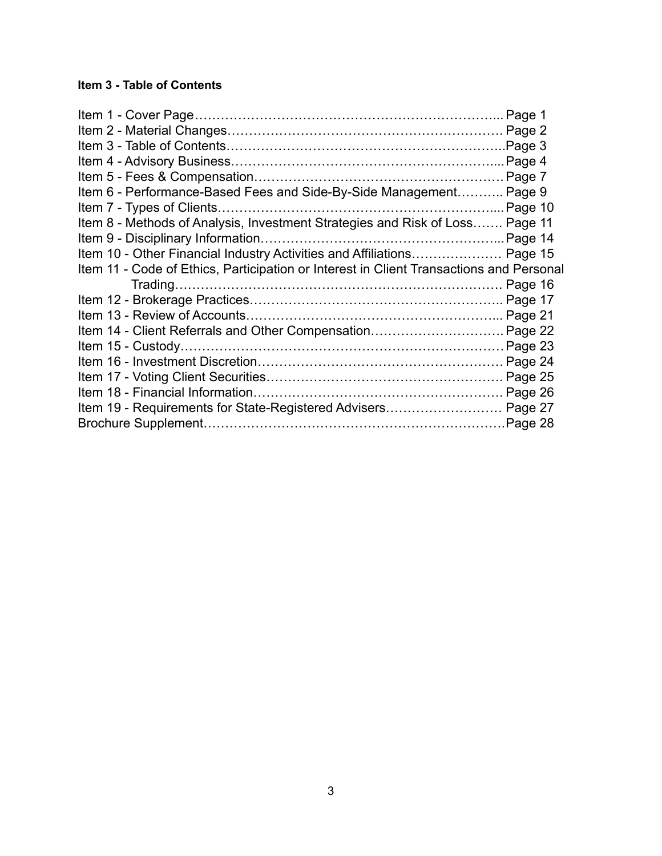#### **Item 3 - Table of Contents**

| Item 6 - Performance-Based Fees and Side-By-Side Management Page 9                      |  |
|-----------------------------------------------------------------------------------------|--|
|                                                                                         |  |
| Item 8 - Methods of Analysis, Investment Strategies and Risk of Loss Page 11            |  |
|                                                                                         |  |
| Item 10 - Other Financial Industry Activities and Affiliations Page 15                  |  |
| Item 11 - Code of Ethics, Participation or Interest in Client Transactions and Personal |  |
|                                                                                         |  |
|                                                                                         |  |
|                                                                                         |  |
|                                                                                         |  |
|                                                                                         |  |
|                                                                                         |  |
|                                                                                         |  |
|                                                                                         |  |
| Item 19 - Requirements for State-Registered Advisers Page 27                            |  |
|                                                                                         |  |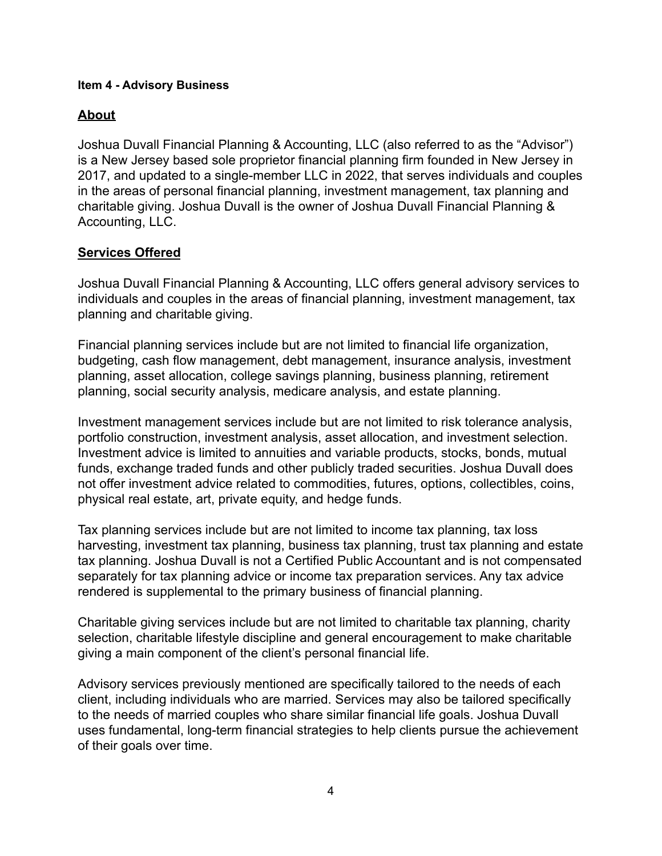#### **Item 4 - Advisory Business**

# **About**

Joshua Duvall Financial Planning & Accounting, LLC (also referred to as the "Advisor") is a New Jersey based sole proprietor financial planning firm founded in New Jersey in 2017, and updated to a single-member LLC in 2022, that serves individuals and couples in the areas of personal financial planning, investment management, tax planning and charitable giving. Joshua Duvall is the owner of Joshua Duvall Financial Planning & Accounting, LLC.

# **Services Offered**

Joshua Duvall Financial Planning & Accounting, LLC offers general advisory services to individuals and couples in the areas of financial planning, investment management, tax planning and charitable giving.

Financial planning services include but are not limited to financial life organization, budgeting, cash flow management, debt management, insurance analysis, investment planning, asset allocation, college savings planning, business planning, retirement planning, social security analysis, medicare analysis, and estate planning.

Investment management services include but are not limited to risk tolerance analysis, portfolio construction, investment analysis, asset allocation, and investment selection. Investment advice is limited to annuities and variable products, stocks, bonds, mutual funds, exchange traded funds and other publicly traded securities. Joshua Duvall does not offer investment advice related to commodities, futures, options, collectibles, coins, physical real estate, art, private equity, and hedge funds.

Tax planning services include but are not limited to income tax planning, tax loss harvesting, investment tax planning, business tax planning, trust tax planning and estate tax planning. Joshua Duvall is not a Certified Public Accountant and is not compensated separately for tax planning advice or income tax preparation services. Any tax advice rendered is supplemental to the primary business of financial planning.

Charitable giving services include but are not limited to charitable tax planning, charity selection, charitable lifestyle discipline and general encouragement to make charitable giving a main component of the client's personal financial life.

Advisory services previously mentioned are specifically tailored to the needs of each client, including individuals who are married. Services may also be tailored specifically to the needs of married couples who share similar financial life goals. Joshua Duvall uses fundamental, long-term financial strategies to help clients pursue the achievement of their goals over time.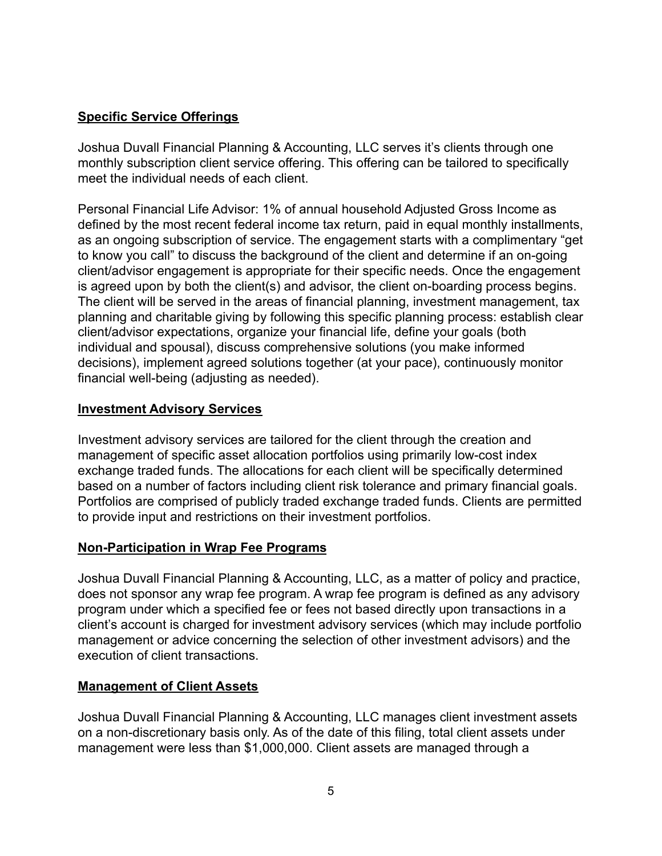# **Specific Service Offerings**

Joshua Duvall Financial Planning & Accounting, LLC serves it's clients through one monthly subscription client service offering. This offering can be tailored to specifically meet the individual needs of each client.

Personal Financial Life Advisor: 1% of annual household Adjusted Gross Income as defined by the most recent federal income tax return, paid in equal monthly installments, as an ongoing subscription of service. The engagement starts with a complimentary "get to know you call" to discuss the background of the client and determine if an on-going client/advisor engagement is appropriate for their specific needs. Once the engagement is agreed upon by both the client(s) and advisor, the client on-boarding process begins. The client will be served in the areas of financial planning, investment management, tax planning and charitable giving by following this specific planning process: establish clear client/advisor expectations, organize your financial life, define your goals (both individual and spousal), discuss comprehensive solutions (you make informed decisions), implement agreed solutions together (at your pace), continuously monitor financial well-being (adjusting as needed).

# **Investment Advisory Services**

Investment advisory services are tailored for the client through the creation and management of specific asset allocation portfolios using primarily low-cost index exchange traded funds. The allocations for each client will be specifically determined based on a number of factors including client risk tolerance and primary financial goals. Portfolios are comprised of publicly traded exchange traded funds. Clients are permitted to provide input and restrictions on their investment portfolios.

# **Non-Participation in Wrap Fee Programs**

Joshua Duvall Financial Planning & Accounting, LLC, as a matter of policy and practice, does not sponsor any wrap fee program. A wrap fee program is defined as any advisory program under which a specified fee or fees not based directly upon transactions in a client's account is charged for investment advisory services (which may include portfolio management or advice concerning the selection of other investment advisors) and the execution of client transactions.

# **Management of Client Assets**

Joshua Duvall Financial Planning & Accounting, LLC manages client investment assets on a non-discretionary basis only. As of the date of this filing, total client assets under management were less than \$1,000,000. Client assets are managed through a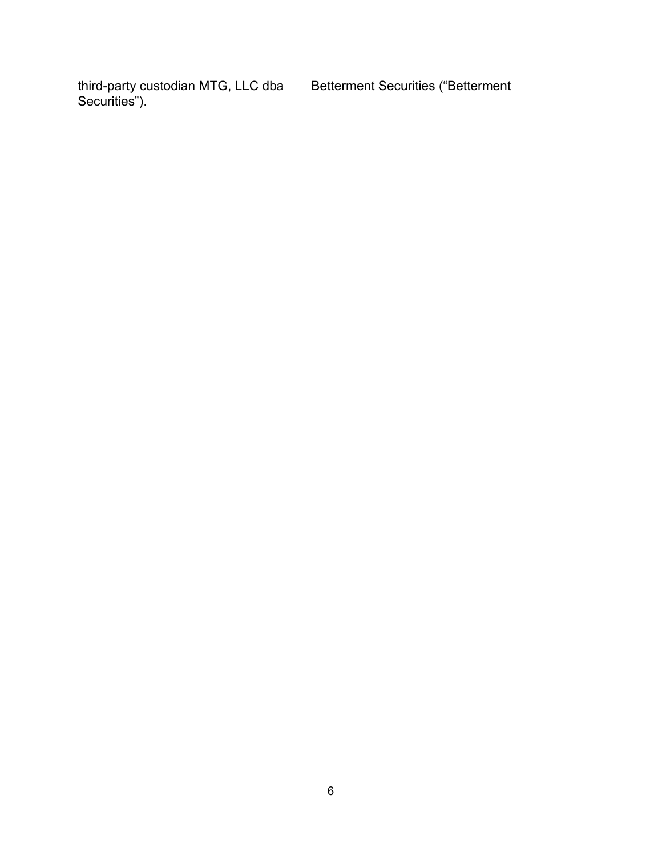third-party custodian MTG, LLC dba Betterment Securities ("Betterment Securities").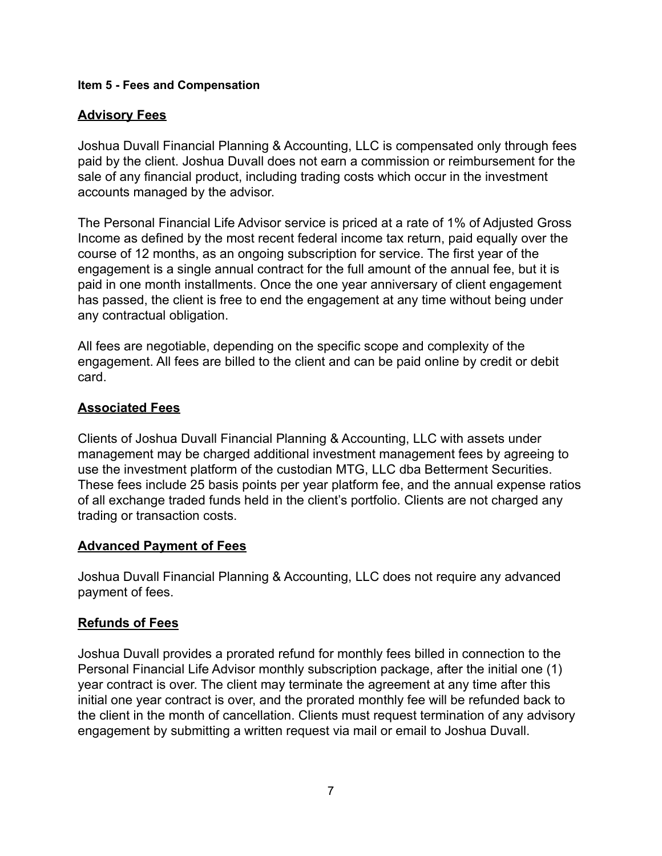### **Item 5 - Fees and Compensation**

### **Advisory Fees**

Joshua Duvall Financial Planning & Accounting, LLC is compensated only through fees paid by the client. Joshua Duvall does not earn a commission or reimbursement for the sale of any financial product, including trading costs which occur in the investment accounts managed by the advisor.

The Personal Financial Life Advisor service is priced at a rate of 1% of Adjusted Gross Income as defined by the most recent federal income tax return, paid equally over the course of 12 months, as an ongoing subscription for service. The first year of the engagement is a single annual contract for the full amount of the annual fee, but it is paid in one month installments. Once the one year anniversary of client engagement has passed, the client is free to end the engagement at any time without being under any contractual obligation.

All fees are negotiable, depending on the specific scope and complexity of the engagement. All fees are billed to the client and can be paid online by credit or debit card.

### **Associated Fees**

Clients of Joshua Duvall Financial Planning & Accounting, LLC with assets under management may be charged additional investment management fees by agreeing to use the investment platform of the custodian MTG, LLC dba Betterment Securities. These fees include 25 basis points per year platform fee, and the annual expense ratios of all exchange traded funds held in the client's portfolio. Clients are not charged any trading or transaction costs.

# **Advanced Payment of Fees**

Joshua Duvall Financial Planning & Accounting, LLC does not require any advanced payment of fees.

# **Refunds of Fees**

Joshua Duvall provides a prorated refund for monthly fees billed in connection to the Personal Financial Life Advisor monthly subscription package, after the initial one (1) year contract is over. The client may terminate the agreement at any time after this initial one year contract is over, and the prorated monthly fee will be refunded back to the client in the month of cancellation. Clients must request termination of any advisory engagement by submitting a written request via mail or email to Joshua Duvall.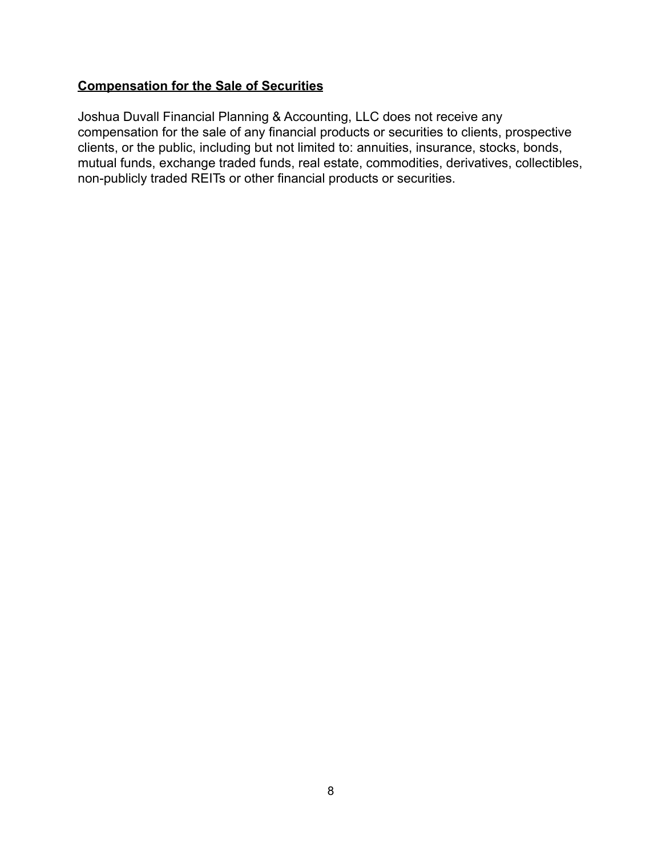# **Compensation for the Sale of Securities**

Joshua Duvall Financial Planning & Accounting, LLC does not receive any compensation for the sale of any financial products or securities to clients, prospective clients, or the public, including but not limited to: annuities, insurance, stocks, bonds, mutual funds, exchange traded funds, real estate, commodities, derivatives, collectibles, non-publicly traded REITs or other financial products or securities.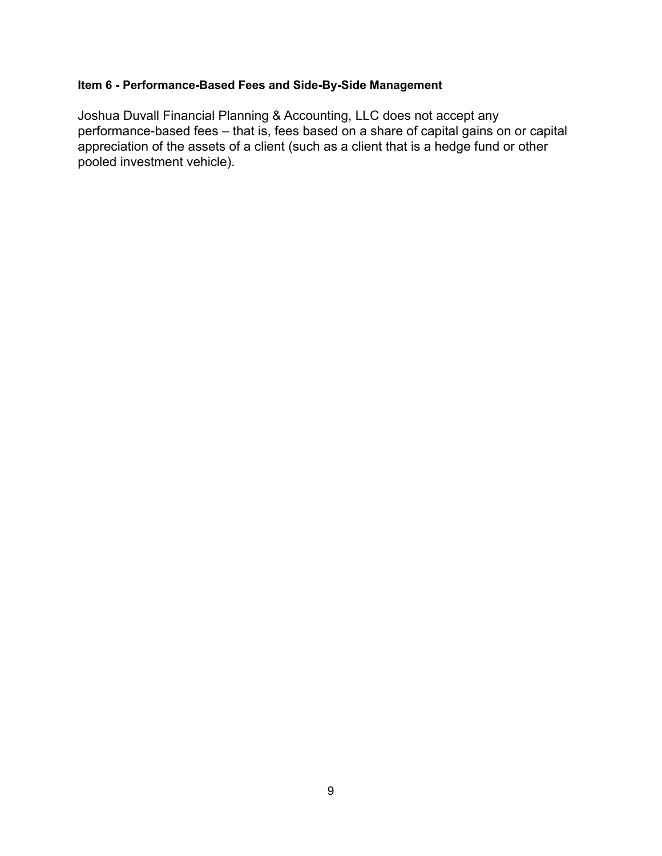### **Item 6 - Performance-Based Fees and Side-By-Side Management**

Joshua Duvall Financial Planning & Accounting, LLC does not accept any performance-based fees – that is, fees based on a share of capital gains on or capital appreciation of the assets of a client (such as a client that is a hedge fund or other pooled investment vehicle).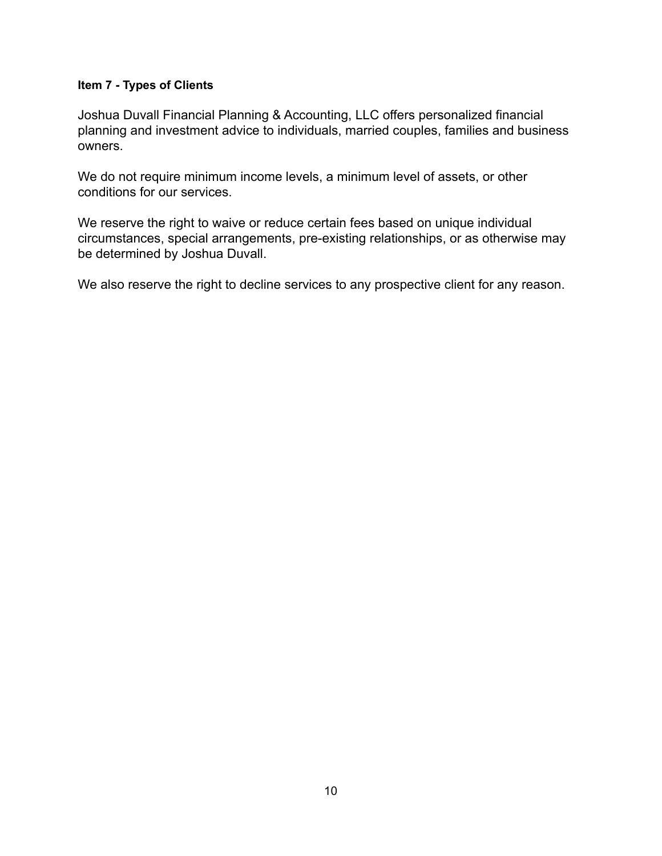### **Item 7 - Types of Clients**

Joshua Duvall Financial Planning & Accounting, LLC offers personalized financial planning and investment advice to individuals, married couples, families and business owners.

We do not require minimum income levels, a minimum level of assets, or other conditions for our services.

We reserve the right to waive or reduce certain fees based on unique individual circumstances, special arrangements, pre-existing relationships, or as otherwise may be determined by Joshua Duvall.

We also reserve the right to decline services to any prospective client for any reason.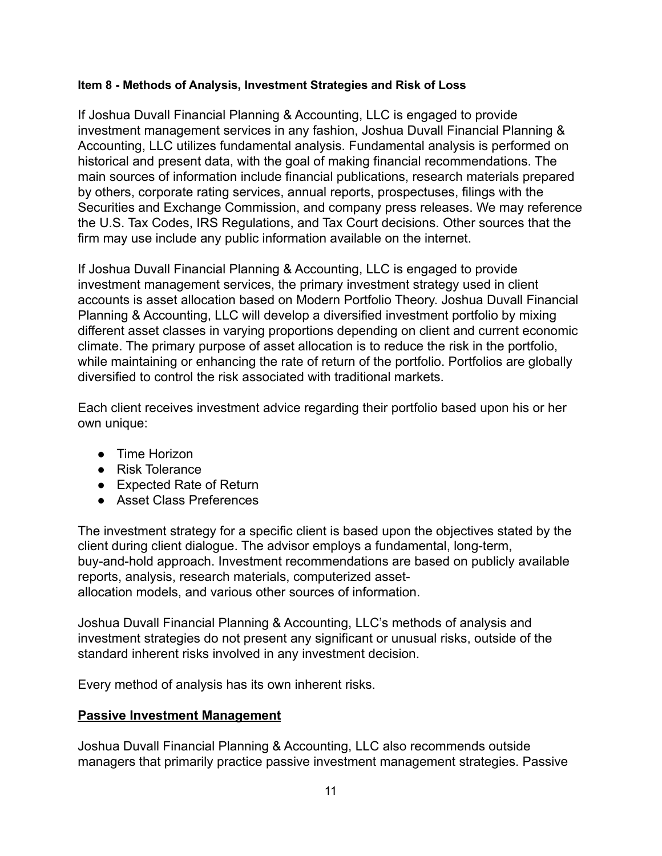### **Item 8 - Methods of Analysis, Investment Strategies and Risk of Loss**

If Joshua Duvall Financial Planning & Accounting, LLC is engaged to provide investment management services in any fashion, Joshua Duvall Financial Planning & Accounting, LLC utilizes fundamental analysis. Fundamental analysis is performed on historical and present data, with the goal of making financial recommendations. The main sources of information include financial publications, research materials prepared by others, corporate rating services, annual reports, prospectuses, filings with the Securities and Exchange Commission, and company press releases. We may reference the U.S. Tax Codes, IRS Regulations, and Tax Court decisions. Other sources that the firm may use include any public information available on the internet.

If Joshua Duvall Financial Planning & Accounting, LLC is engaged to provide investment management services, the primary investment strategy used in client accounts is asset allocation based on Modern Portfolio Theory. Joshua Duvall Financial Planning & Accounting, LLC will develop a diversified investment portfolio by mixing different asset classes in varying proportions depending on client and current economic climate. The primary purpose of asset allocation is to reduce the risk in the portfolio, while maintaining or enhancing the rate of return of the portfolio. Portfolios are globally diversified to control the risk associated with traditional markets.

Each client receives investment advice regarding their portfolio based upon his or her own unique:

- Time Horizon
- Risk Tolerance
- Expected Rate of Return
- Asset Class Preferences

The investment strategy for a specific client is based upon the objectives stated by the client during client dialogue. The advisor employs a fundamental, long-term, buy-and-hold approach. Investment recommendations are based on publicly available reports, analysis, research materials, computerized assetallocation models, and various other sources of information.

Joshua Duvall Financial Planning & Accounting, LLC's methods of analysis and investment strategies do not present any significant or unusual risks, outside of the standard inherent risks involved in any investment decision.

Every method of analysis has its own inherent risks.

### **Passive Investment Management**

Joshua Duvall Financial Planning & Accounting, LLC also recommends outside managers that primarily practice passive investment management strategies. Passive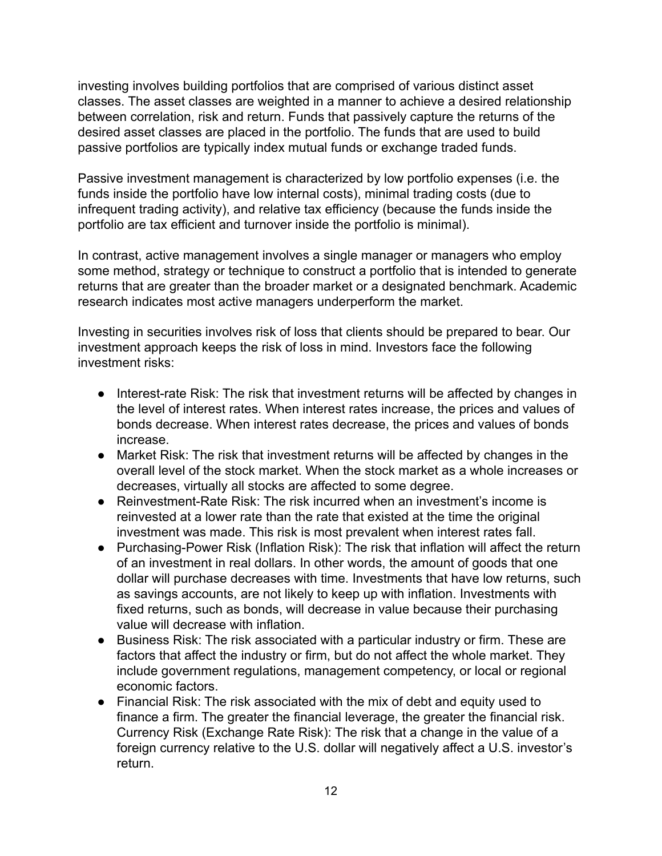investing involves building portfolios that are comprised of various distinct asset classes. The asset classes are weighted in a manner to achieve a desired relationship between correlation, risk and return. Funds that passively capture the returns of the desired asset classes are placed in the portfolio. The funds that are used to build passive portfolios are typically index mutual funds or exchange traded funds.

Passive investment management is characterized by low portfolio expenses (i.e. the funds inside the portfolio have low internal costs), minimal trading costs (due to infrequent trading activity), and relative tax efficiency (because the funds inside the portfolio are tax efficient and turnover inside the portfolio is minimal).

In contrast, active management involves a single manager or managers who employ some method, strategy or technique to construct a portfolio that is intended to generate returns that are greater than the broader market or a designated benchmark. Academic research indicates most active managers underperform the market.

Investing in securities involves risk of loss that clients should be prepared to bear. Our investment approach keeps the risk of loss in mind. Investors face the following investment risks:

- Interest-rate Risk: The risk that investment returns will be affected by changes in the level of interest rates. When interest rates increase, the prices and values of bonds decrease. When interest rates decrease, the prices and values of bonds increase.
- Market Risk: The risk that investment returns will be affected by changes in the overall level of the stock market. When the stock market as a whole increases or decreases, virtually all stocks are affected to some degree.
- Reinvestment-Rate Risk: The risk incurred when an investment's income is reinvested at a lower rate than the rate that existed at the time the original investment was made. This risk is most prevalent when interest rates fall.
- Purchasing-Power Risk (Inflation Risk): The risk that inflation will affect the return of an investment in real dollars. In other words, the amount of goods that one dollar will purchase decreases with time. Investments that have low returns, such as savings accounts, are not likely to keep up with inflation. Investments with fixed returns, such as bonds, will decrease in value because their purchasing value will decrease with inflation.
- Business Risk: The risk associated with a particular industry or firm. These are factors that affect the industry or firm, but do not affect the whole market. They include government regulations, management competency, or local or regional economic factors.
- Financial Risk: The risk associated with the mix of debt and equity used to finance a firm. The greater the financial leverage, the greater the financial risk. Currency Risk (Exchange Rate Risk): The risk that a change in the value of a foreign currency relative to the U.S. dollar will negatively affect a U.S. investor's return.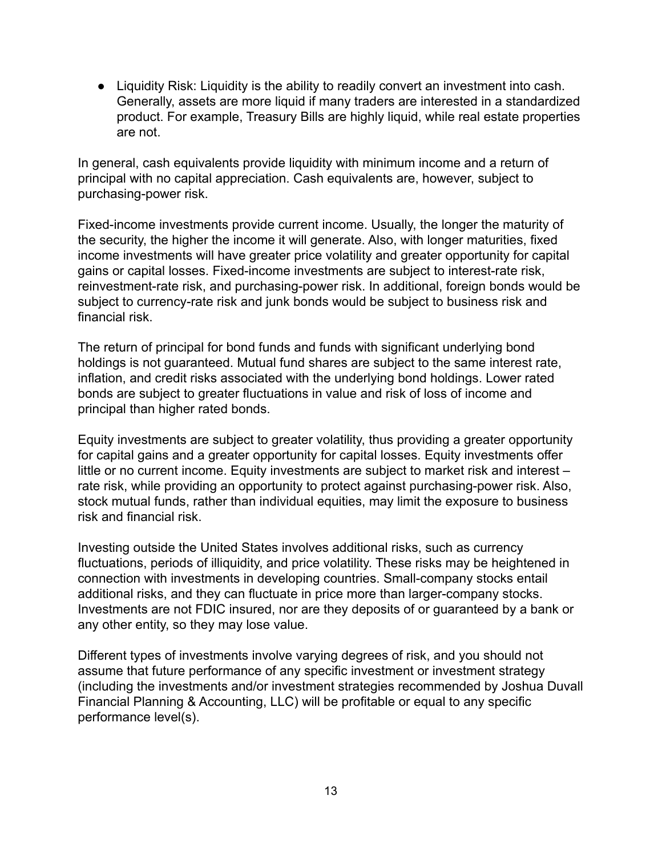● Liquidity Risk: Liquidity is the ability to readily convert an investment into cash. Generally, assets are more liquid if many traders are interested in a standardized product. For example, Treasury Bills are highly liquid, while real estate properties are not.

In general, cash equivalents provide liquidity with minimum income and a return of principal with no capital appreciation. Cash equivalents are, however, subject to purchasing-power risk.

Fixed-income investments provide current income. Usually, the longer the maturity of the security, the higher the income it will generate. Also, with longer maturities, fixed income investments will have greater price volatility and greater opportunity for capital gains or capital losses. Fixed-income investments are subject to interest-rate risk, reinvestment-rate risk, and purchasing-power risk. In additional, foreign bonds would be subject to currency-rate risk and junk bonds would be subject to business risk and financial risk.

The return of principal for bond funds and funds with significant underlying bond holdings is not guaranteed. Mutual fund shares are subject to the same interest rate, inflation, and credit risks associated with the underlying bond holdings. Lower rated bonds are subject to greater fluctuations in value and risk of loss of income and principal than higher rated bonds.

Equity investments are subject to greater volatility, thus providing a greater opportunity for capital gains and a greater opportunity for capital losses. Equity investments offer little or no current income. Equity investments are subject to market risk and interest – rate risk, while providing an opportunity to protect against purchasing-power risk. Also, stock mutual funds, rather than individual equities, may limit the exposure to business risk and financial risk.

Investing outside the United States involves additional risks, such as currency fluctuations, periods of illiquidity, and price volatility. These risks may be heightened in connection with investments in developing countries. Small-company stocks entail additional risks, and they can fluctuate in price more than larger-company stocks. Investments are not FDIC insured, nor are they deposits of or guaranteed by a bank or any other entity, so they may lose value.

Different types of investments involve varying degrees of risk, and you should not assume that future performance of any specific investment or investment strategy (including the investments and/or investment strategies recommended by Joshua Duvall Financial Planning & Accounting, LLC) will be profitable or equal to any specific performance level(s).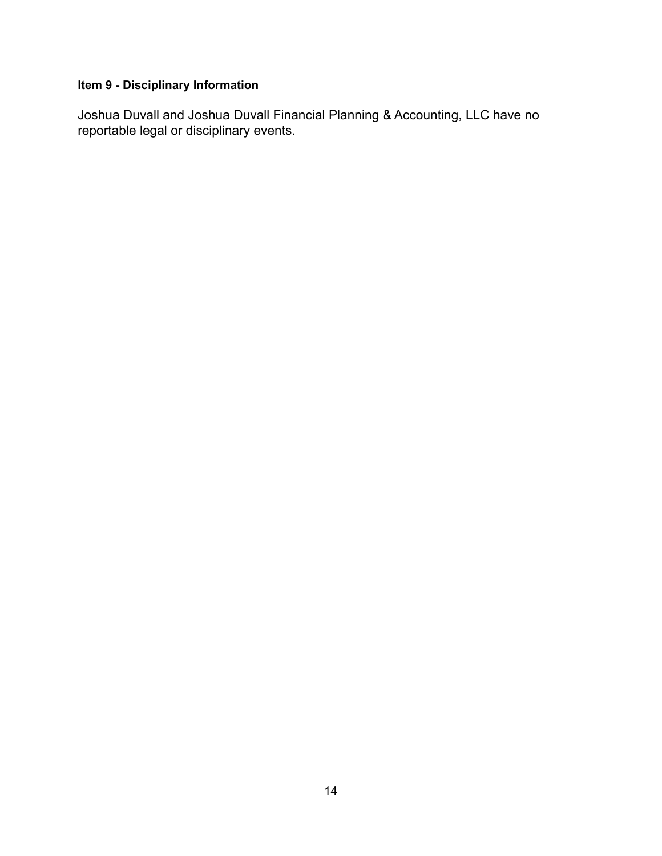# **Item 9 - Disciplinary Information**

Joshua Duvall and Joshua Duvall Financial Planning & Accounting, LLC have no reportable legal or disciplinary events.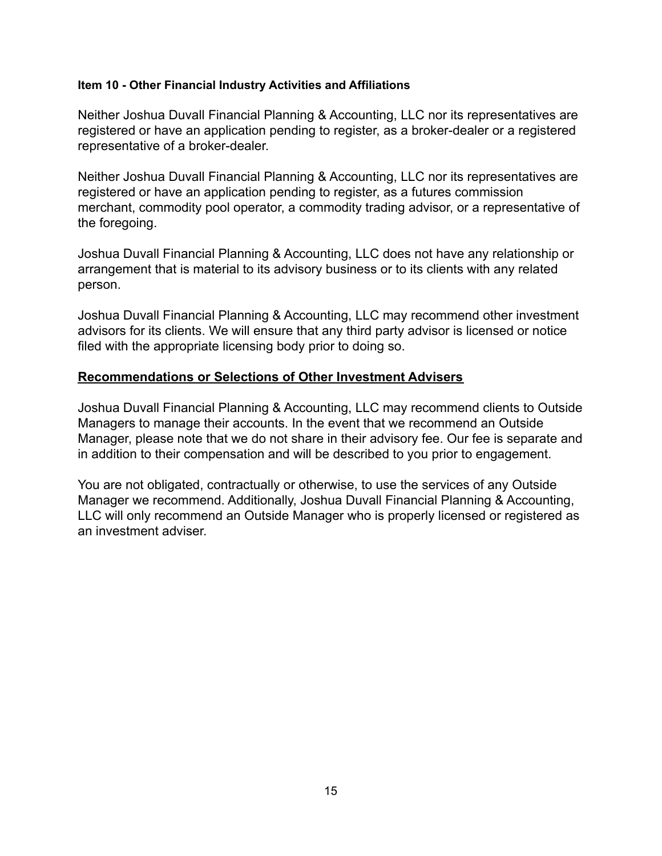### **Item 10 - Other Financial Industry Activities and Affiliations**

Neither Joshua Duvall Financial Planning & Accounting, LLC nor its representatives are registered or have an application pending to register, as a broker-dealer or a registered representative of a broker-dealer.

Neither Joshua Duvall Financial Planning & Accounting, LLC nor its representatives are registered or have an application pending to register, as a futures commission merchant, commodity pool operator, a commodity trading advisor, or a representative of the foregoing.

Joshua Duvall Financial Planning & Accounting, LLC does not have any relationship or arrangement that is material to its advisory business or to its clients with any related person.

Joshua Duvall Financial Planning & Accounting, LLC may recommend other investment advisors for its clients. We will ensure that any third party advisor is licensed or notice filed with the appropriate licensing body prior to doing so.

### **Recommendations or Selections of Other Investment Advisers**

Joshua Duvall Financial Planning & Accounting, LLC may recommend clients to Outside Managers to manage their accounts. In the event that we recommend an Outside Manager, please note that we do not share in their advisory fee. Our fee is separate and in addition to their compensation and will be described to you prior to engagement.

You are not obligated, contractually or otherwise, to use the services of any Outside Manager we recommend. Additionally, Joshua Duvall Financial Planning & Accounting, LLC will only recommend an Outside Manager who is properly licensed or registered as an investment adviser.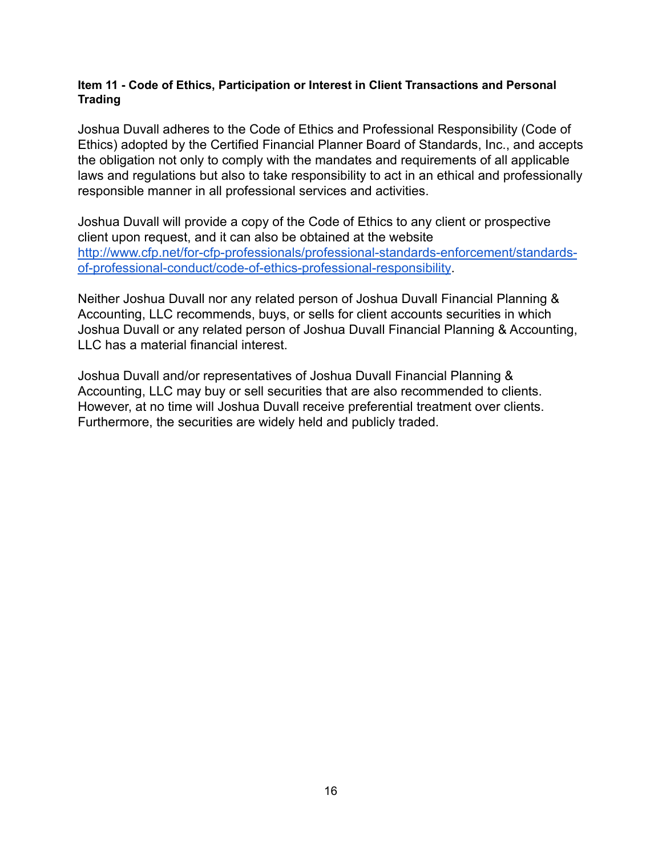### **Item 11 - Code of Ethics, Participation or Interest in Client Transactions and Personal Trading**

Joshua Duvall adheres to the Code of Ethics and Professional Responsibility (Code of Ethics) adopted by the Certified Financial Planner Board of Standards, Inc., and accepts the obligation not only to comply with the mandates and requirements of all applicable laws and regulations but also to take responsibility to act in an ethical and professionally responsible manner in all professional services and activities.

Joshua Duvall will provide a copy of the Code of Ethics to any client or prospective client upon request, and it can also be obtained at the website [http://www.cfp.net/for-cfp-professionals/professional-standards-enforcement/standards](http://www.cfp.net/for-cfp-professionals/professional-standards-enforcement/standards-of-professional-conduct/code-of-ethics-professional-responsibility)[of-professional-conduct/code-of-ethics-professional-responsibility](http://www.cfp.net/for-cfp-professionals/professional-standards-enforcement/standards-of-professional-conduct/code-of-ethics-professional-responsibility).

Neither Joshua Duvall nor any related person of Joshua Duvall Financial Planning & Accounting, LLC recommends, buys, or sells for client accounts securities in which Joshua Duvall or any related person of Joshua Duvall Financial Planning & Accounting, LLC has a material financial interest.

Joshua Duvall and/or representatives of Joshua Duvall Financial Planning & Accounting, LLC may buy or sell securities that are also recommended to clients. However, at no time will Joshua Duvall receive preferential treatment over clients. Furthermore, the securities are widely held and publicly traded.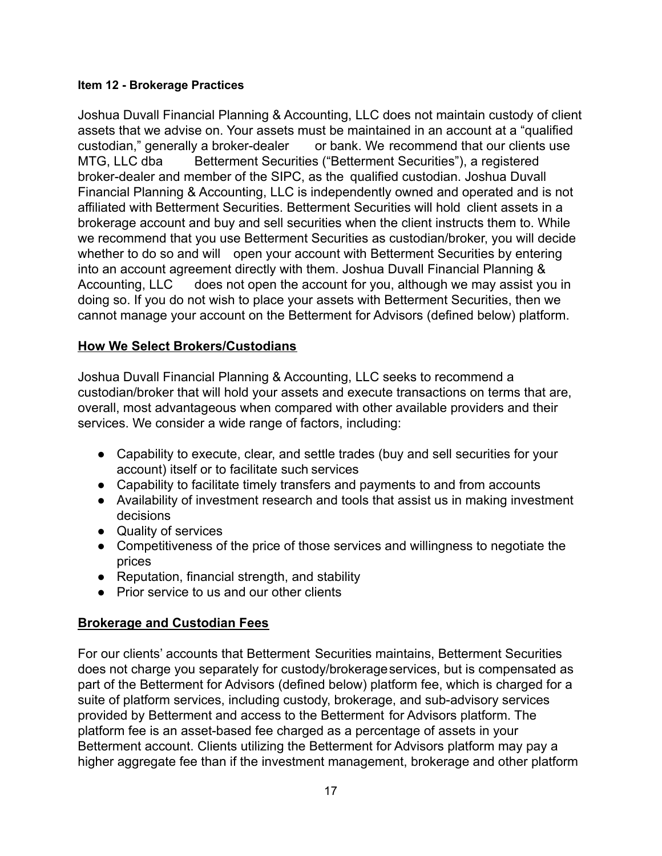### **Item 12 - Brokerage Practices**

Joshua Duvall Financial Planning & Accounting, LLC does not maintain custody of client assets that we advise on. Your assets must be maintained in an account at a "qualified custodian," generally a broker-dealer or bank. We recommend that our clients use MTG, LLC dba Betterment Securities ("Betterment Securities"), a registered broker-dealer and member of the SIPC, as the qualified custodian. Joshua Duvall Financial Planning & Accounting, LLC is independently owned and operated and is not affiliated with Betterment Securities. Betterment Securities will hold client assets in a brokerage account and buy and sell securities when the client instructs them to. While we recommend that you use Betterment Securities as custodian/broker, you will decide whether to do so and will open your account with Betterment Securities by entering into an account agreement directly with them. Joshua Duvall Financial Planning & Accounting, LLC does not open the account for you, although we may assist you in doing so. If you do not wish to place your assets with Betterment Securities, then we cannot manage your account on the Betterment for Advisors (defined below) platform.

### **How We Select Brokers/Custodians**

Joshua Duvall Financial Planning & Accounting, LLC seeks to recommend a custodian/broker that will hold your assets and execute transactions on terms that are, overall, most advantageous when compared with other available providers and their services. We consider a wide range of factors, including:

- Capability to execute, clear, and settle trades (buy and sell securities for your account) itself or to facilitate such services
- Capability to facilitate timely transfers and payments to and from accounts
- Availability of investment research and tools that assist us in making investment decisions
- Quality of services
- Competitiveness of the price of those services and willingness to negotiate the prices
- Reputation, financial strength, and stability
- Prior service to us and our other clients

# **Brokerage and Custodian Fees**

For our clients' accounts that Betterment Securities maintains, Betterment Securities does not charge you separately for custody/brokerageservices, but is compensated as part of the Betterment for Advisors (defined below) platform fee, which is charged for a suite of platform services, including custody, brokerage, and sub-advisory services provided by Betterment and access to the Betterment for Advisors platform. The platform fee is an asset-based fee charged as a percentage of assets in your Betterment account. Clients utilizing the Betterment for Advisors platform may pay a higher aggregate fee than if the investment management, brokerage and other platform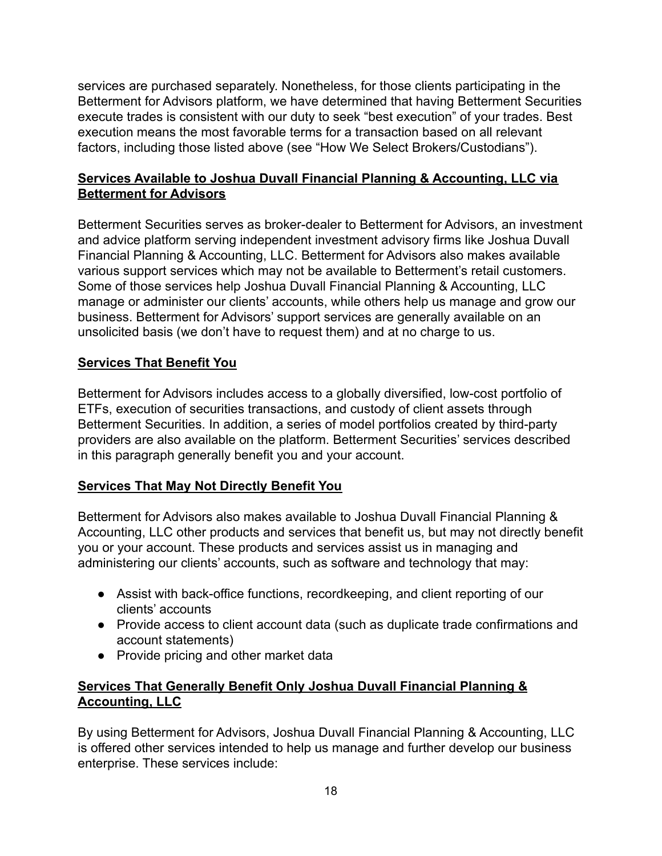services are purchased separately. Nonetheless, for those clients participating in the Betterment for Advisors platform, we have determined that having Betterment Securities execute trades is consistent with our duty to seek "best execution" of your trades. Best execution means the most favorable terms for a transaction based on all relevant factors, including those listed above (see "How We Select Brokers/Custodians").

# **Services Available to Joshua Duvall Financial Planning & Accounting, LLC via Betterment for Advisors**

Betterment Securities serves as broker-dealer to Betterment for Advisors, an investment and advice platform serving independent investment advisory firms like Joshua Duvall Financial Planning & Accounting, LLC. Betterment for Advisors also makes available various support services which may not be available to Betterment's retail customers. Some of those services help Joshua Duvall Financial Planning & Accounting, LLC manage or administer our clients' accounts, while others help us manage and grow our business. Betterment for Advisors' support services are generally available on an unsolicited basis (we don't have to request them) and at no charge to us.

# **Services That Benefit You**

Betterment for Advisors includes access to a globally diversified, low-cost portfolio of ETFs, execution of securities transactions, and custody of client assets through Betterment Securities. In addition, a series of model portfolios created by third-party providers are also available on the platform. Betterment Securities' services described in this paragraph generally benefit you and your account.

# **Services That May Not Directly Benefit You**

Betterment for Advisors also makes available to Joshua Duvall Financial Planning & Accounting, LLC other products and services that benefit us, but may not directly benefit you or your account. These products and services assist us in managing and administering our clients' accounts, such as software and technology that may:

- Assist with back-office functions, recordkeeping, and client reporting of our clients' accounts
- Provide access to client account data (such as duplicate trade confirmations and account statements)
- Provide pricing and other market data

# **Services That Generally Benefit Only Joshua Duvall Financial Planning & Accounting, LLC**

By using Betterment for Advisors, Joshua Duvall Financial Planning & Accounting, LLC is offered other services intended to help us manage and further develop our business enterprise. These services include: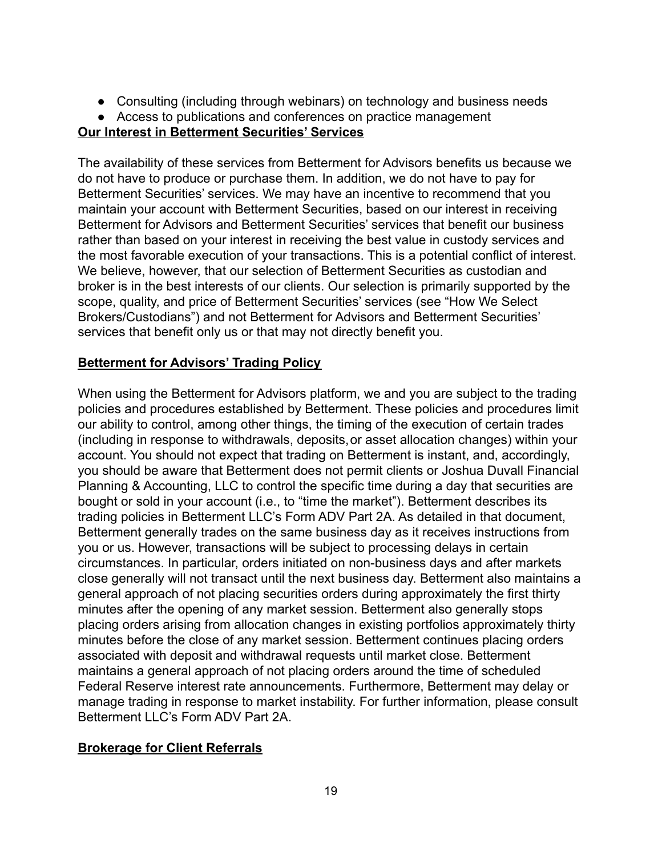- Consulting (including through webinars) on technology and business needs
- Access to publications and conferences on practice management

# **Our Interest in Betterment Securities' Services**

The availability of these services from Betterment for Advisors benefits us because we do not have to produce or purchase them. In addition, we do not have to pay for Betterment Securities' services. We may have an incentive to recommend that you maintain your account with Betterment Securities, based on our interest in receiving Betterment for Advisors and Betterment Securities' services that benefit our business rather than based on your interest in receiving the best value in custody services and the most favorable execution of your transactions. This is a potential conflict of interest. We believe, however, that our selection of Betterment Securities as custodian and broker is in the best interests of our clients. Our selection is primarily supported by the scope, quality, and price of Betterment Securities' services (see "How We Select Brokers/Custodians") and not Betterment for Advisors and Betterment Securities' services that benefit only us or that may not directly benefit you.

# **Betterment for Advisors' Trading Policy**

When using the Betterment for Advisors platform, we and you are subject to the trading policies and procedures established by Betterment. These policies and procedures limit our ability to control, among other things, the timing of the execution of certain trades (including in response to withdrawals, deposits,or asset allocation changes) within your account. You should not expect that trading on Betterment is instant, and, accordingly, you should be aware that Betterment does not permit clients or Joshua Duvall Financial Planning & Accounting, LLC to control the specific time during a day that securities are bought or sold in your account (i.e., to "time the market"). Betterment describes its trading policies in Betterment LLC's Form ADV Part 2A. As detailed in that document, Betterment generally trades on the same business day as it receives instructions from you or us. However, transactions will be subject to processing delays in certain circumstances. In particular, orders initiated on non-business days and after markets close generally will not transact until the next business day. Betterment also maintains a general approach of not placing securities orders during approximately the first thirty minutes after the opening of any market session. Betterment also generally stops placing orders arising from allocation changes in existing portfolios approximately thirty minutes before the close of any market session. Betterment continues placing orders associated with deposit and withdrawal requests until market close. Betterment maintains a general approach of not placing orders around the time of scheduled Federal Reserve interest rate announcements. Furthermore, Betterment may delay or manage trading in response to market instability. For further information, please consult Betterment LLC's Form ADV Part 2A.

# **Brokerage for Client Referrals**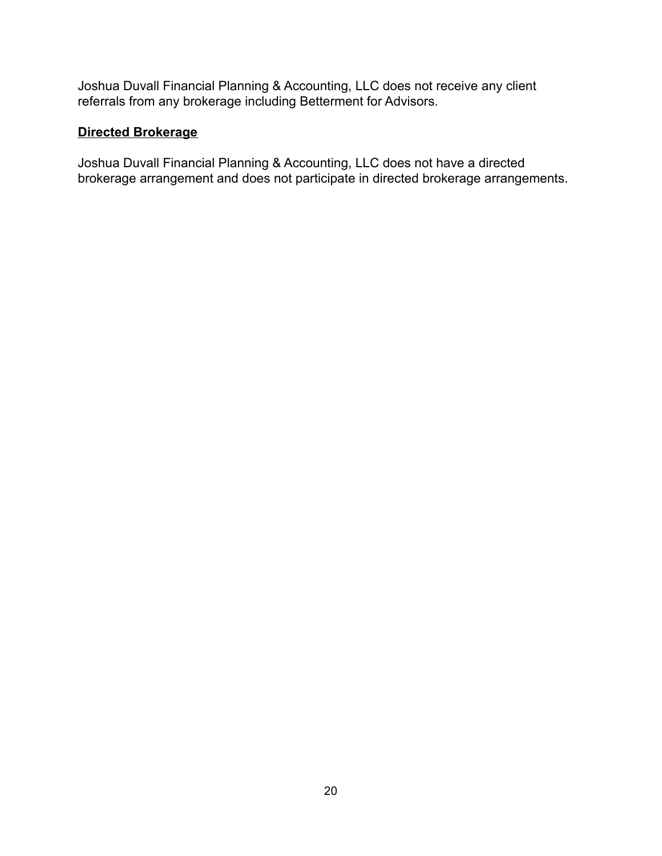Joshua Duvall Financial Planning & Accounting, LLC does not receive any client referrals from any brokerage including Betterment for Advisors.

### **Directed Brokerage**

Joshua Duvall Financial Planning & Accounting, LLC does not have a directed brokerage arrangement and does not participate in directed brokerage arrangements.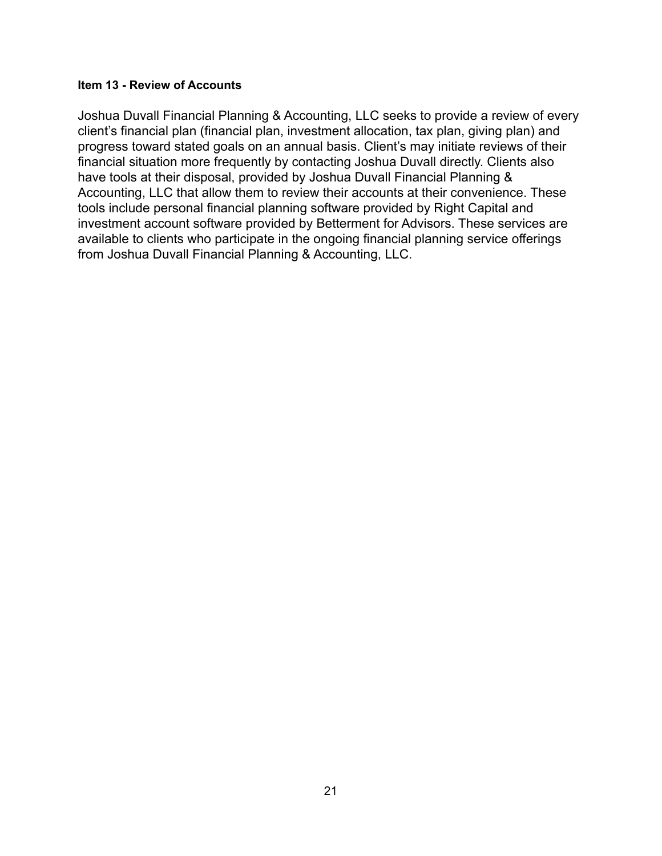#### **Item 13 - Review of Accounts**

Joshua Duvall Financial Planning & Accounting, LLC seeks to provide a review of every client's financial plan (financial plan, investment allocation, tax plan, giving plan) and progress toward stated goals on an annual basis. Client's may initiate reviews of their financial situation more frequently by contacting Joshua Duvall directly. Clients also have tools at their disposal, provided by Joshua Duvall Financial Planning & Accounting, LLC that allow them to review their accounts at their convenience. These tools include personal financial planning software provided by Right Capital and investment account software provided by Betterment for Advisors. These services are available to clients who participate in the ongoing financial planning service offerings from Joshua Duvall Financial Planning & Accounting, LLC.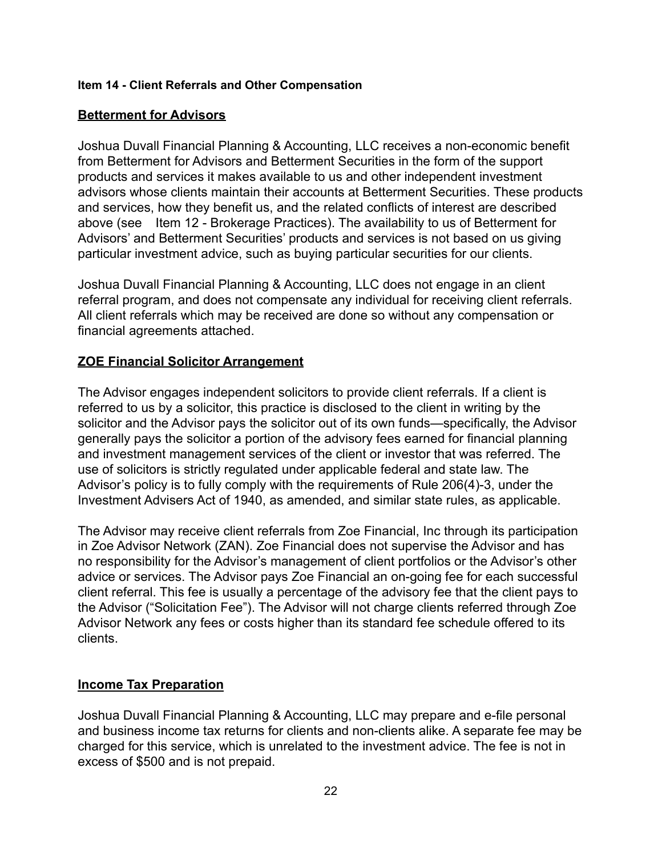### **Item 14 - Client Referrals and Other Compensation**

### **Betterment for Advisors**

Joshua Duvall Financial Planning & Accounting, LLC receives a non-economic benefit from Betterment for Advisors and Betterment Securities in the form of the support products and services it makes available to us and other independent investment advisors whose clients maintain their accounts at Betterment Securities. These products and services, how they benefit us, and the related conflicts of interest are described above (see Item 12 - Brokerage Practices). The availability to us of Betterment for Advisors' and Betterment Securities' products and services is not based on us giving particular investment advice, such as buying particular securities for our clients.

Joshua Duvall Financial Planning & Accounting, LLC does not engage in an client referral program, and does not compensate any individual for receiving client referrals. All client referrals which may be received are done so without any compensation or financial agreements attached.

### **ZOE Financial Solicitor Arrangement**

The Advisor engages independent solicitors to provide client referrals. If a client is referred to us by a solicitor, this practice is disclosed to the client in writing by the solicitor and the Advisor pays the solicitor out of its own funds—specifically, the Advisor generally pays the solicitor a portion of the advisory fees earned for financial planning and investment management services of the client or investor that was referred. The use of solicitors is strictly regulated under applicable federal and state law. The Advisor's policy is to fully comply with the requirements of Rule 206(4)-3, under the Investment Advisers Act of 1940, as amended, and similar state rules, as applicable.

The Advisor may receive client referrals from Zoe Financial, Inc through its participation in Zoe Advisor Network (ZAN). Zoe Financial does not supervise the Advisor and has no responsibility for the Advisor's management of client portfolios or the Advisor's other advice or services. The Advisor pays Zoe Financial an on-going fee for each successful client referral. This fee is usually a percentage of the advisory fee that the client pays to the Advisor ("Solicitation Fee"). The Advisor will not charge clients referred through Zoe Advisor Network any fees or costs higher than its standard fee schedule offered to its clients.

### **Income Tax Preparation**

Joshua Duvall Financial Planning & Accounting, LLC may prepare and e-file personal and business income tax returns for clients and non-clients alike. A separate fee may be charged for this service, which is unrelated to the investment advice. The fee is not in excess of \$500 and is not prepaid.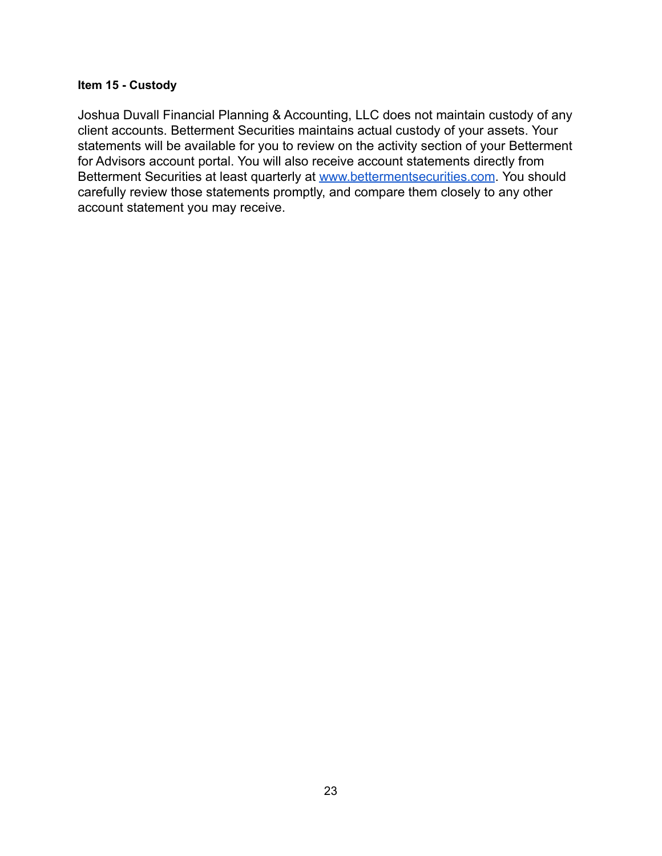#### **Item 15 - Custody**

Joshua Duvall Financial Planning & Accounting, LLC does not maintain custody of any client accounts. Betterment Securities maintains actual custody of your assets. Your statements will be available for you to review on the activity section of your Betterment for Advisors account portal. You will also receive account statements directly from Betterment Securities at least quarterly at [www.bettermentsecurities.com](http://www.bettermentsecurities.com). You should carefully review those statements promptly, and compare them closely to any other account statement you may receive.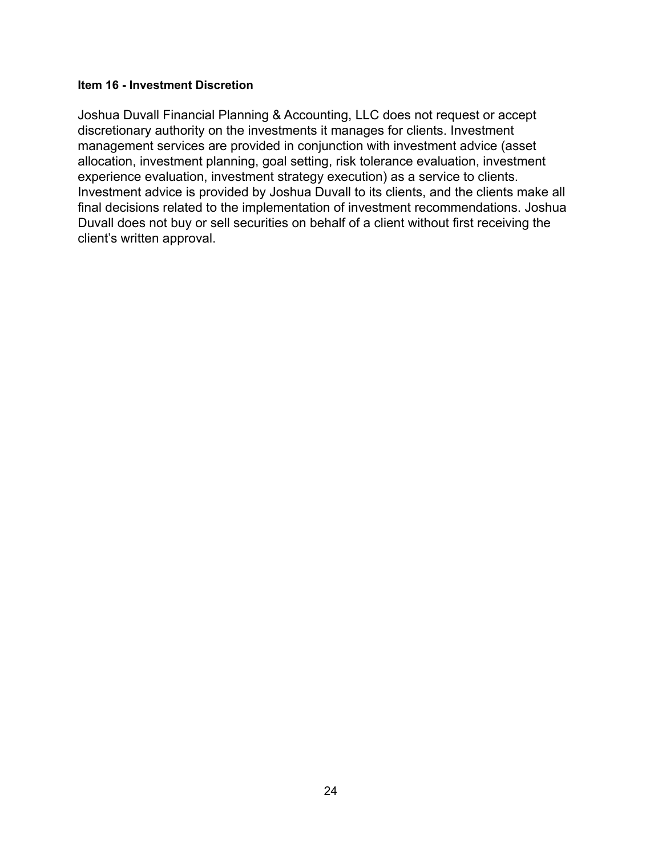#### **Item 16 - Investment Discretion**

Joshua Duvall Financial Planning & Accounting, LLC does not request or accept discretionary authority on the investments it manages for clients. Investment management services are provided in conjunction with investment advice (asset allocation, investment planning, goal setting, risk tolerance evaluation, investment experience evaluation, investment strategy execution) as a service to clients. Investment advice is provided by Joshua Duvall to its clients, and the clients make all final decisions related to the implementation of investment recommendations. Joshua Duvall does not buy or sell securities on behalf of a client without first receiving the client's written approval.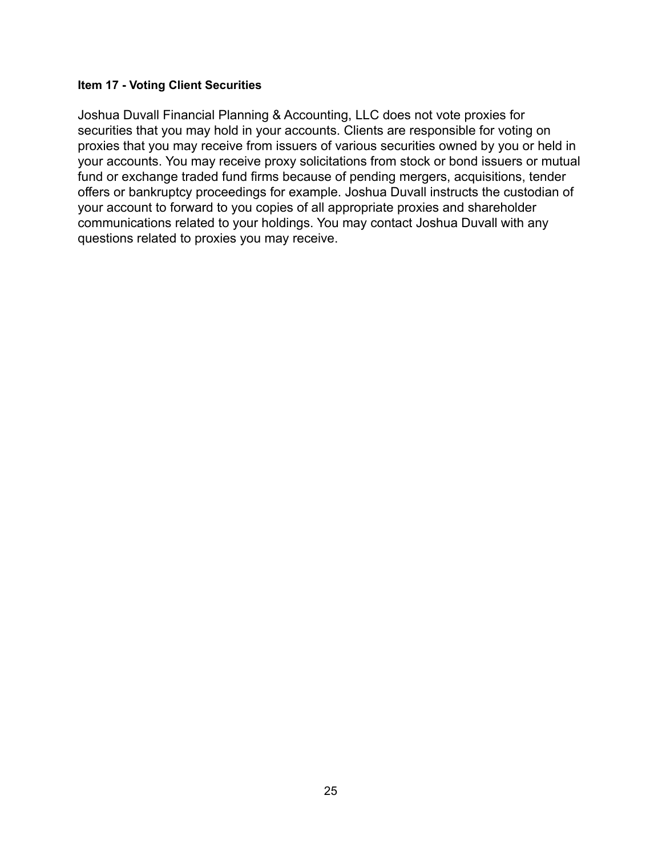### **Item 17 - Voting Client Securities**

Joshua Duvall Financial Planning & Accounting, LLC does not vote proxies for securities that you may hold in your accounts. Clients are responsible for voting on proxies that you may receive from issuers of various securities owned by you or held in your accounts. You may receive proxy solicitations from stock or bond issuers or mutual fund or exchange traded fund firms because of pending mergers, acquisitions, tender offers or bankruptcy proceedings for example. Joshua Duvall instructs the custodian of your account to forward to you copies of all appropriate proxies and shareholder communications related to your holdings. You may contact Joshua Duvall with any questions related to proxies you may receive.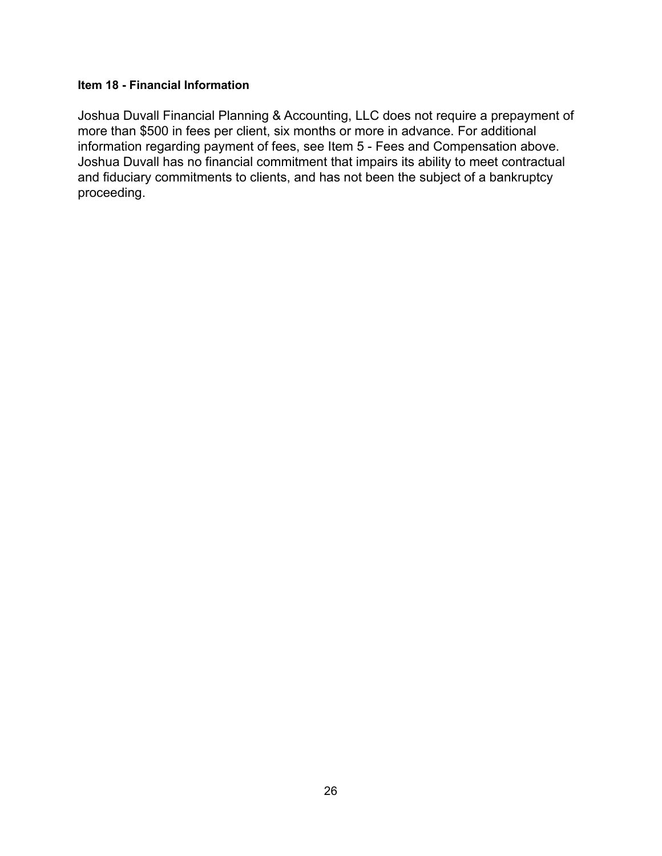### **Item 18 - Financial Information**

Joshua Duvall Financial Planning & Accounting, LLC does not require a prepayment of more than \$500 in fees per client, six months or more in advance. For additional information regarding payment of fees, see Item 5 - Fees and Compensation above. Joshua Duvall has no financial commitment that impairs its ability to meet contractual and fiduciary commitments to clients, and has not been the subject of a bankruptcy proceeding.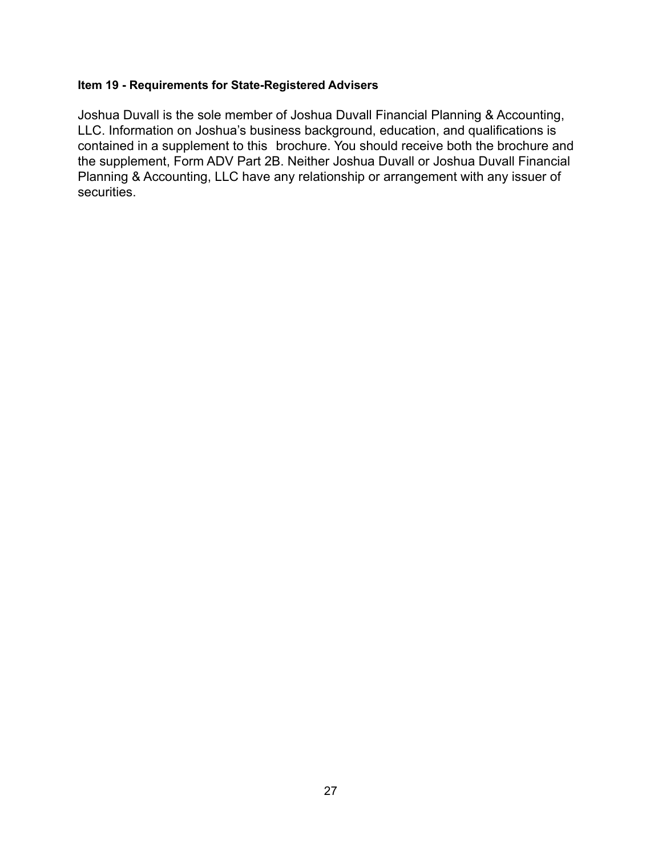#### **Item 19 - Requirements for State-Registered Advisers**

Joshua Duvall is the sole member of Joshua Duvall Financial Planning & Accounting, LLC. Information on Joshua's business background, education, and qualifications is contained in a supplement to this brochure. You should receive both the brochure and the supplement, Form ADV Part 2B. Neither Joshua Duvall or Joshua Duvall Financial Planning & Accounting, LLC have any relationship or arrangement with any issuer of securities.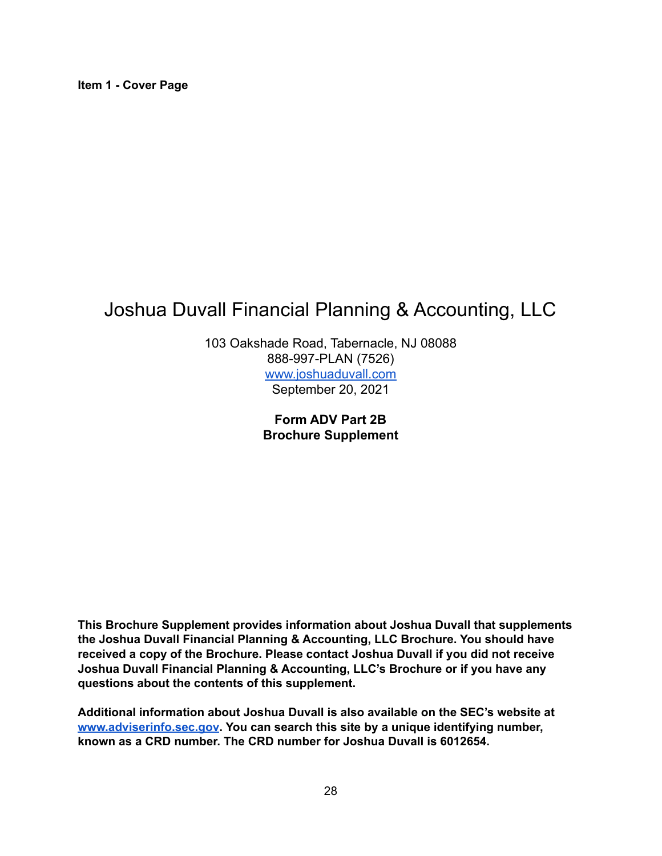**Item 1 - Cover Page**

# Joshua Duvall Financial Planning & Accounting, LLC

103 Oakshade Road, Tabernacle, NJ 08088 888-997-PLAN (7526) [www.joshuaduvall.com](http://www.joshuaduvall.com) September 20, 2021

> **Form ADV Part 2B Brochure Supplement**

**This Brochure Supplement provides information about Joshua Duvall that supplements the Joshua Duvall Financial Planning & Accounting, LLC Brochure. You should have received a copy of the Brochure. Please contact Joshua Duvall if you did not receive Joshua Duvall Financial Planning & Accounting, LLC's Brochure or if you have any questions about the contents of this supplement.**

**Additional information about Joshua Duvall is also available on the SEC's website at [www.adviserinfo.sec.gov.](http://www.adviserinfo.sec.gov) You can search this site by a unique identifying number, known as a CRD number. The CRD number for Joshua Duvall is 6012654.**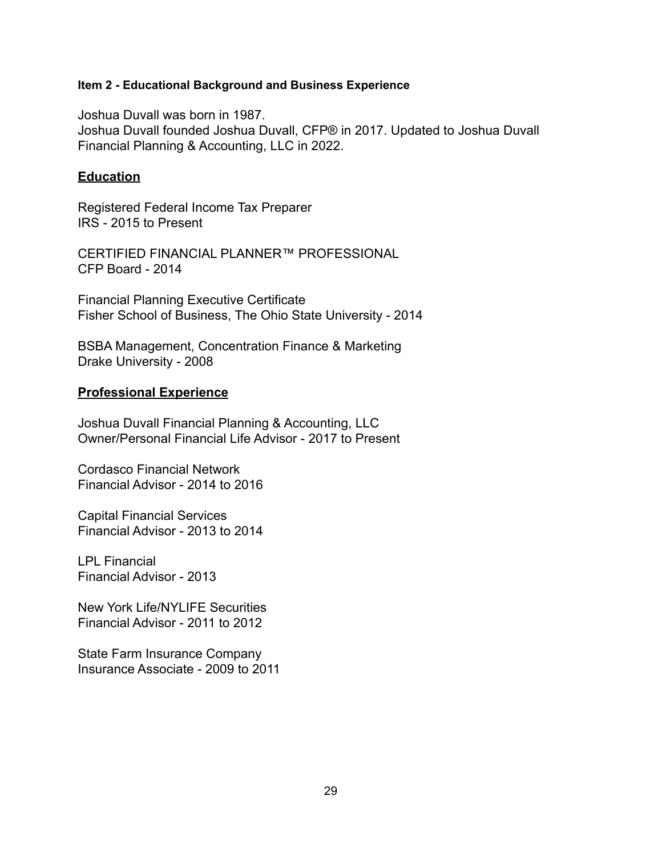#### **Item 2 - Educational Background and Business Experience**

Joshua Duvall was born in 1987. Joshua Duvall founded Joshua Duvall, CFP® in 2017. Updated to Joshua Duvall Financial Planning & Accounting, LLC in 2022.

### **Education**

Registered Federal Income Tax Preparer IRS - 2015 to Present

CERTIFIED FINANCIAL PLANNER™ PROFESSIONAL CFP Board - 2014

Financial Planning Executive Certificate Fisher School of Business, The Ohio State University - 2014

BSBA Management, Concentration Finance & Marketing Drake University - 2008

### **Professional Experience**

Joshua Duvall Financial Planning & Accounting, LLC Owner/Personal Financial Life Advisor - 2017 to Present

Cordasco Financial Network Financial Advisor - 2014 to 2016

Capital Financial Services Financial Advisor - 2013 to 2014

LPL Financial Financial Advisor - 2013

New York Life/NYLIFE Securities Financial Advisor - 2011 to 2012

State Farm Insurance Company Insurance Associate - 2009 to 2011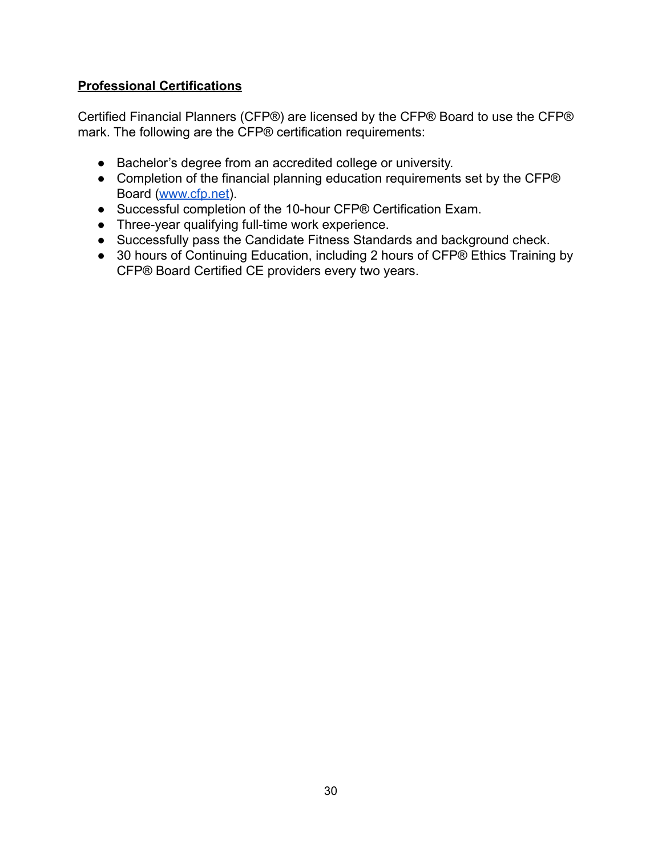# **Professional Certifications**

Certified Financial Planners (CFP®) are licensed by the CFP® Board to use the CFP® mark. The following are the CFP® certification requirements:

- Bachelor's degree from an accredited college or university.
- Completion of the financial planning education requirements set by the CFP® Board [\(www.cfp.net](http://www.cfp.net)).
- Successful completion of the 10-hour CFP® Certification Exam.
- Three-year qualifying full-time work experience.
- Successfully pass the Candidate Fitness Standards and background check.
- 30 hours of Continuing Education, including 2 hours of CFP® Ethics Training by CFP® Board Certified CE providers every two years.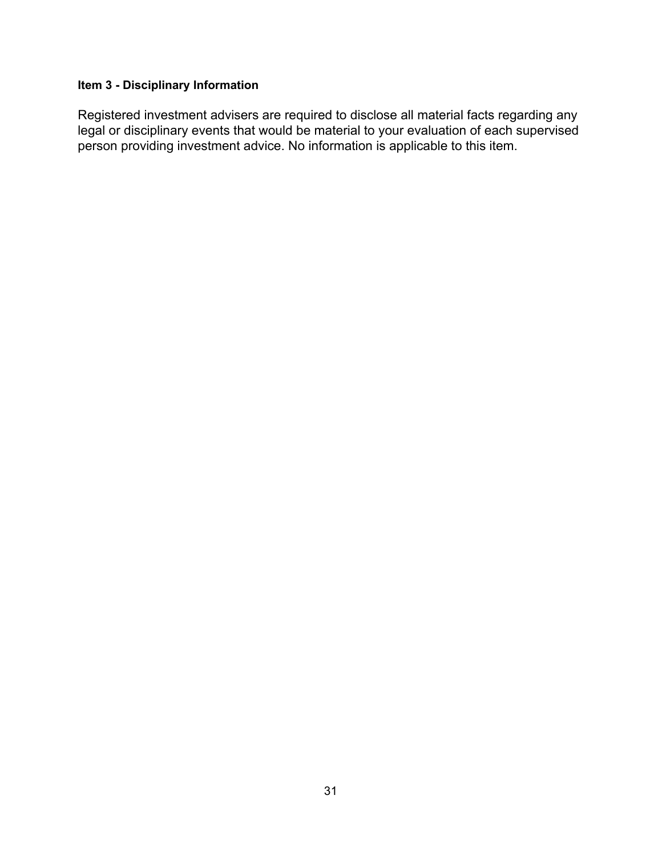# **Item 3 - Disciplinary Information**

Registered investment advisers are required to disclose all material facts regarding any legal or disciplinary events that would be material to your evaluation of each supervised person providing investment advice. No information is applicable to this item.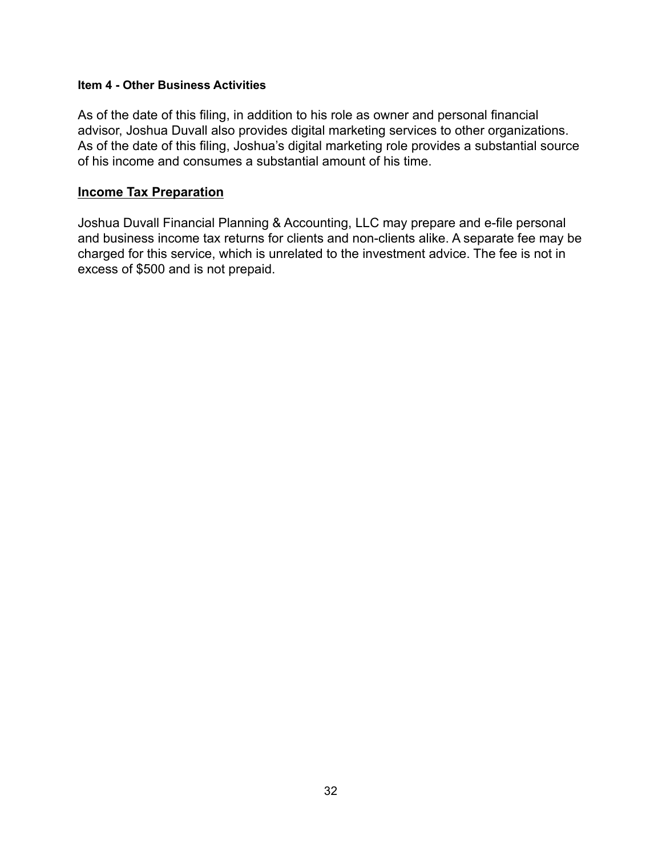#### **Item 4 - Other Business Activities**

As of the date of this filing, in addition to his role as owner and personal financial advisor, Joshua Duvall also provides digital marketing services to other organizations. As of the date of this filing, Joshua's digital marketing role provides a substantial source of his income and consumes a substantial amount of his time.

### **Income Tax Preparation**

Joshua Duvall Financial Planning & Accounting, LLC may prepare and e-file personal and business income tax returns for clients and non-clients alike. A separate fee may be charged for this service, which is unrelated to the investment advice. The fee is not in excess of \$500 and is not prepaid.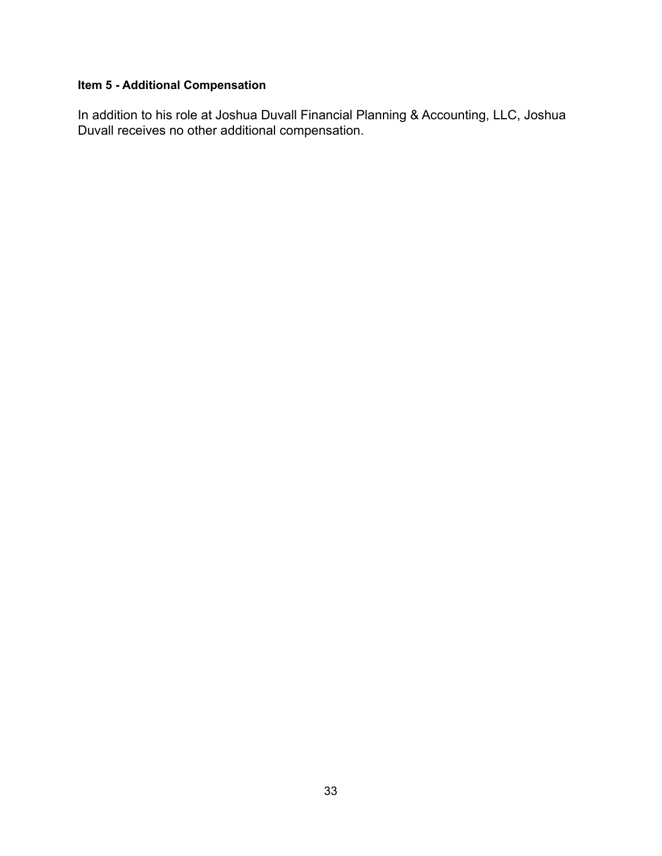### **Item 5 - Additional Compensation**

In addition to his role at Joshua Duvall Financial Planning & Accounting, LLC, Joshua Duvall receives no other additional compensation.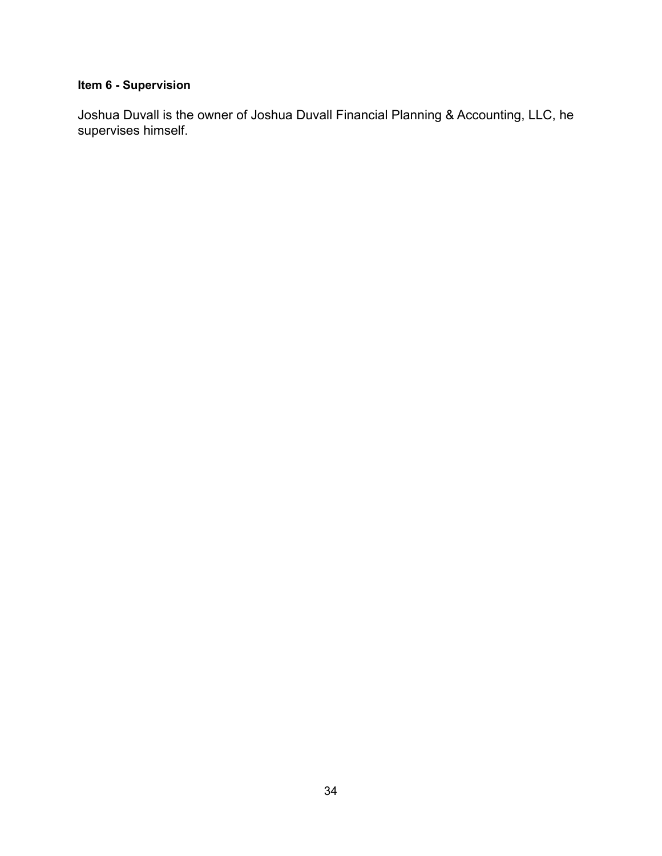# **Item 6 - Supervision**

Joshua Duvall is the owner of Joshua Duvall Financial Planning & Accounting, LLC, he supervises himself.